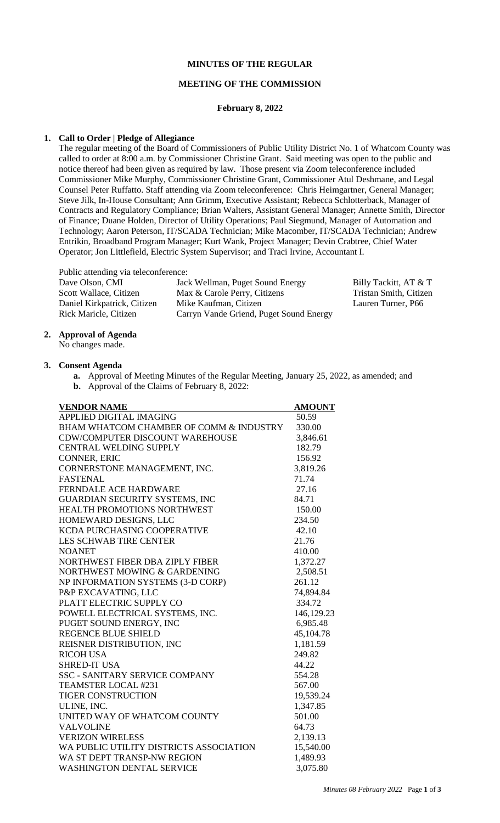## **MINUTES OF THE REGULAR**

### **MEETING OF THE COMMISSION**

#### **February 8, 2022**

## **1. Call to Order | Pledge of Allegiance**

The regular meeting of the Board of Commissioners of Public Utility District No. 1 of Whatcom County was called to order at 8:00 a.m. by Commissioner Christine Grant. Said meeting was open to the public and notice thereof had been given as required by law. Those present via Zoom teleconference included Commissioner Mike Murphy, Commissioner Christine Grant, Commissioner Atul Deshmane, and Legal Counsel Peter Ruffatto. Staff attending via Zoom teleconference: Chris Heimgartner, General Manager; Steve Jilk, In-House Consultant; Ann Grimm, Executive Assistant; Rebecca Schlotterback, Manager of Contracts and Regulatory Compliance; Brian Walters, Assistant General Manager; Annette Smith, Director of Finance; Duane Holden, Director of Utility Operations; Paul Siegmund, Manager of Automation and Technology; Aaron Peterson, IT/SCADA Technician; Mike Macomber, IT/SCADA Technician; Andrew Entrikin, Broadband Program Manager; Kurt Wank, Project Manager; Devin Crabtree, Chief Water Operator; Jon Littlefield, Electric System Supervisor; and Traci Irvine, Accountant I.

Public attending via teleconference:

| Dave Olson, CMI             | Jack Wellman, Puget Sound Energy        | Billy Tackitt, AT & T  |
|-----------------------------|-----------------------------------------|------------------------|
| Scott Wallace, Citizen      | Max & Carole Perry, Citizens            | Tristan Smith, Citizen |
| Daniel Kirkpatrick, Citizen | Mike Kaufman, Citizen                   | Lauren Turner, P66     |
| Rick Maricle, Citizen       | Carryn Vande Griend, Puget Sound Energy |                        |
|                             |                                         |                        |

## **2. Approval of Agenda**

No changes made.

#### **3. Consent Agenda**

- **a.** Approval of Meeting Minutes of the Regular Meeting, January 25, 2022, as amended; and
- **b.** Approval of the Claims of February 8, 2022:

| <b>VENDOR NAME</b>                      | <b>AMOUNT</b> |
|-----------------------------------------|---------------|
| <b>APPLIED DIGITAL IMAGING</b>          | 50.59         |
| BHAM WHATCOM CHAMBER OF COMM & INDUSTRY | 330.00        |
| <b>CDW/COMPUTER DISCOUNT WAREHOUSE</b>  | 3,846.61      |
| <b>CENTRAL WELDING SUPPLY</b>           | 182.79        |
| <b>CONNER, ERIC</b>                     | 156.92        |
| CORNERSTONE MANAGEMENT, INC.            | 3,819.26      |
| <b>FASTENAL</b>                         | 71.74         |
| <b>FERNDALE ACE HARDWARE</b>            | 27.16         |
| GUARDIAN SECURITY SYSTEMS, INC          | 84.71         |
| HEALTH PROMOTIONS NORTHWEST             | 150.00        |
| HOMEWARD DESIGNS, LLC                   | 234.50        |
| KCDA PURCHASING COOPERATIVE             | 42.10         |
| <b>LES SCHWAB TIRE CENTER</b>           | 21.76         |
| <b>NOANET</b>                           | 410.00        |
| NORTHWEST FIBER DBA ZIPLY FIBER         | 1,372.27      |
| NORTHWEST MOWING & GARDENING            | 2,508.51      |
| NP INFORMATION SYSTEMS (3-D CORP)       | 261.12        |
| P&P EXCAVATING, LLC                     | 74,894.84     |
| PLATT ELECTRIC SUPPLY CO                | 334.72        |
| POWELL ELECTRICAL SYSTEMS, INC.         | 146,129.23    |
| PUGET SOUND ENERGY, INC                 | 6,985.48      |
| <b>REGENCE BLUE SHIELD</b>              | 45,104.78     |
| REISNER DISTRIBUTION, INC               | 1,181.59      |
| <b>RICOH USA</b>                        | 249.82        |
| <b>SHRED-IT USA</b>                     | 44.22         |
| <b>SSC - SANITARY SERVICE COMPANY</b>   | 554.28        |
| <b>TEAMSTER LOCAL #231</b>              | 567.00        |
| <b>TIGER CONSTRUCTION</b>               | 19,539.24     |
| ULINE, INC.                             | 1,347.85      |
| UNITED WAY OF WHATCOM COUNTY            | 501.00        |
| <b>VALVOLINE</b>                        | 64.73         |
| <b>VERIZON WIRELESS</b>                 | 2,139.13      |
| WA PUBLIC UTILITY DISTRICTS ASSOCIATION | 15,540.00     |
| WA ST DEPT TRANSP-NW REGION             | 1,489.93      |
| <b>WASHINGTON DENTAL SERVICE</b>        | 3,075.80      |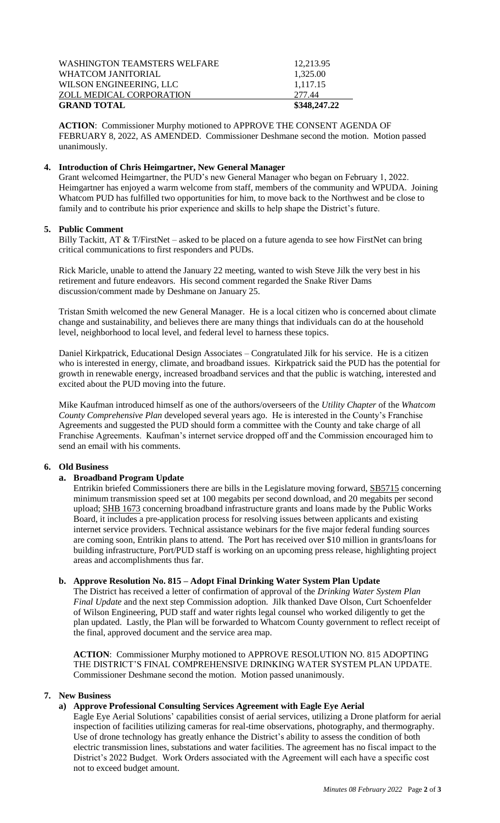| <b>GRAND TOTAL</b>           | \$348,247.22 |
|------------------------------|--------------|
| ZOLL MEDICAL CORPORATION     | 277.44       |
| WILSON ENGINEERING, LLC      | 1,117.15     |
| WHATCOM JANITORIAL           | 1,325.00     |
| WASHINGTON TEAMSTERS WELFARE | 12,213.95    |
|                              |              |

**ACTION**: Commissioner Murphy motioned to APPROVE THE CONSENT AGENDA OF FEBRUARY 8, 2022, AS AMENDED. Commissioner Deshmane second the motion. Motion passed unanimously.

## **4. Introduction of Chris Heimgartner, New General Manager**

Grant welcomed Heimgartner, the PUD's new General Manager who began on February 1, 2022. Heimgartner has enjoyed a warm welcome from staff, members of the community and WPUDA. Joining Whatcom PUD has fulfilled two opportunities for him, to move back to the Northwest and be close to family and to contribute his prior experience and skills to help shape the District's future.

## **5. Public Comment**

Billy Tackitt, AT & T/FirstNet – asked to be placed on a future agenda to see how FirstNet can bring critical communications to first responders and PUDs.

Rick Maricle, unable to attend the January 22 meeting, wanted to wish Steve Jilk the very best in his retirement and future endeavors. His second comment regarded the Snake River Dams discussion/comment made by Deshmane on January 25.

Tristan Smith welcomed the new General Manager. He is a local citizen who is concerned about climate change and sustainability, and believes there are many things that individuals can do at the household level, neighborhood to local level, and federal level to harness these topics.

Daniel Kirkpatrick, Educational Design Associates – Congratulated Jilk for his service. He is a citizen who is interested in energy, climate, and broadband issues. Kirkpatrick said the PUD has the potential for growth in renewable energy, increased broadband services and that the public is watching, interested and excited about the PUD moving into the future.

Mike Kaufman introduced himself as one of the authors/overseers of the *Utility Chapter* of the *Whatcom County Comprehensive Plan* developed several years ago. He is interested in the County's Franchise Agreements and suggested the PUD should form a committee with the County and take charge of all Franchise Agreements. Kaufman's internet service dropped off and the Commission encouraged him to send an email with his comments.

## **6. Old Business**

## **a. Broadband Program Update**

Entrikin briefed Commissioners there are bills in the Legislature moving forward, SB5715 concerning minimum transmission speed set at 100 megabits per second download, and 20 megabits per second upload; SHB 1673 concerning broadband infrastructure grants and loans made by the Public Works Board, it includes a pre-application process for resolving issues between applicants and existing internet service providers. Technical assistance webinars for the five major federal funding sources are coming soon, Entrikin plans to attend. The Port has received over \$10 million in grants/loans for building infrastructure, Port/PUD staff is working on an upcoming press release, highlighting project areas and accomplishments thus far.

#### **b. Approve Resolution No. 815 – Adopt Final Drinking Water System Plan Update**

The District has received a letter of confirmation of approval of the *Drinking Water System Plan Final Update* and the next step Commission adoption. Jilk thanked Dave Olson, Curt Schoenfelder of Wilson Engineering, PUD staff and water rights legal counsel who worked diligently to get the plan updated. Lastly, the Plan will be forwarded to Whatcom County government to reflect receipt of the final, approved document and the service area map.

**ACTION**: Commissioner Murphy motioned to APPROVE RESOLUTION NO. 815 ADOPTING THE DISTRICT'S FINAL COMPREHENSIVE DRINKING WATER SYSTEM PLAN UPDATE. Commissioner Deshmane second the motion. Motion passed unanimously.

#### **7. New Business**

# **a) Approve Professional Consulting Services Agreement with Eagle Eye Aerial**

Eagle Eye Aerial Solutions' capabilities consist of aerial services, utilizing a Drone platform for aerial inspection of facilities utilizing cameras for real-time observations, photography, and thermography. Use of drone technology has greatly enhance the District's ability to assess the condition of both electric transmission lines, substations and water facilities. The agreement has no fiscal impact to the District's 2022 Budget. Work Orders associated with the Agreement will each have a specific cost not to exceed budget amount.